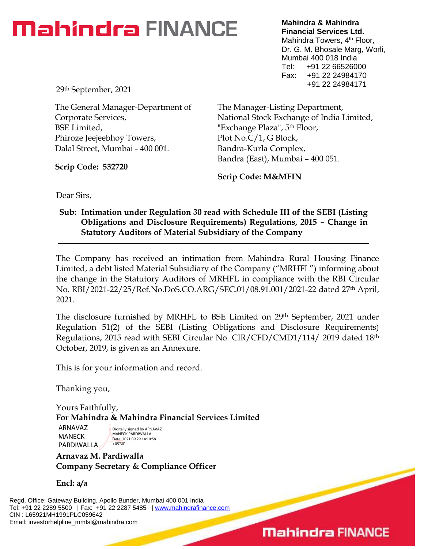## **Mahindra** FINANCE

**Mahindra & Mahindra Financial Services Ltd.** Mahindra Towers, 4<sup>th</sup> Floor, Dr. G. M. Bhosale Marg, Worli, Mumbai 400 018 India Tel: +91 22 66526000 Fax: +91 22 24984170 +91 22 24984171

29th September, 2021

The General Manager-Department of Corporate Services, BSE Limited, Phiroze Jeejeebhoy Towers, Dalal Street, Mumbai - 400 001.

**Scrip Code: 532720**

The Manager-Listing Department, National Stock Exchange of India Limited, "Exchange Plaza", 5th Floor, Plot No.C/1, G Block, Bandra-Kurla Complex, Bandra (East), Mumbai – 400 051.

**Scrip Code: M&MFIN**

Dear Sirs,

### **Sub: Intimation under Regulation 30 read with Schedule III of the SEBI (Listing Obligations and Disclosure Requirements) Regulations, 2015 – Change in Statutory Auditors of Material Subsidiary of the Company**

The Company has received an intimation from Mahindra Rural Housing Finance Limited, a debt listed Material Subsidiary of the Company ("MRHFL") informing about the change in the Statutory Auditors of MRHFL in compliance with the RBI Circular No. RBI/2021-22/25/Ref.No.DoS.CO.ARG/SEC.01/08.91.001/2021-22 dated 27th April, 2021.

The disclosure furnished by MRHFL to BSE Limited on 29th September, 2021 under Regulation 51(2) of the SEBI (Listing Obligations and Disclosure Requirements) Regulations, 2015 read with SEBI Circular No. CIR/CFD/CMD1/114/ 2019 dated 18th October, 2019, is given as an Annexure.

This is for your information and record.

Thanking you,

Yours Faithfully, **For Mahindra & Mahindra Financial Services Limited**

ARNAVAZ MANECK PARDIWALLA

Digitally signed by ARNAVAZ MANECK PARDIWALLA Date: 2021.09.29 14:10:58 +05'30'

**Arnavaz M. Pardiwalla Company Secretary & Compliance Officer**

**Encl: a/a**

Regd. Office: Gateway Building, Apollo Bunder, Mumbai 400 001 India Tel: +91 22 2289 5500 | Fax: +91 22 2287 5485 | [www.mahindrafinance.com](http://www.mahindrafinance.com/) CIN : L65921MH1991PLC059642 Email: investorhelpline\_mmfsl@mahindra.com

### **Mahindra FINANCE**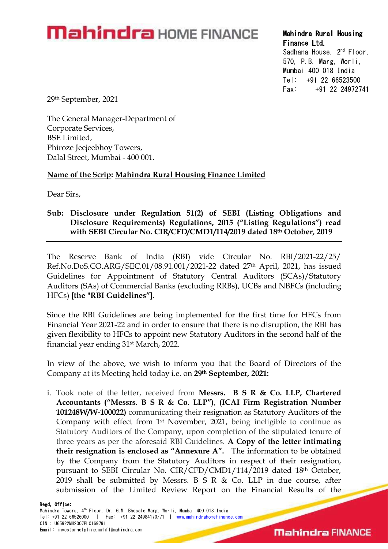# **Mahindra** HOME FINANCE Mahindra Rural Housing

Sadhana House, 2<sup>nd</sup> Floor, 570, P.B. Marg, Worli, Mumbai 400 018 India Tel: +91 22 66523500 Fax: +91 22 24972741

29th September, 2021

The General Manager-Department of Corporate Services, BSE Limited, Phiroze Jeejeebhoy Towers,

# Dalal Street, Mumbai - 400 001.<br>Name of the Scrip: Mahindra Rural Housing Finance Limited

Dear Sirs,

### Sub: Disclosure under Regulation 51(2) of SEBI (Listing Obligations and Disclosure Requirements) Regulations, 2015 ("Listing Regulations") read with SEBI Circular No. CIR/CFD/CMD1/114/2019 dated 18th October, 2019

The Reserve Bank of India (RBI) vide Circular No. RBI/2021-22/25/ Ref.No.DoS.CO.ARG/SEC.01/08.91.001/2021-22 dated 27th April, 2021, has issued Guidelines for Appointment of Statutory Central Auditors (SCAs)/Statutory Auditors (SAs) of Commercial Banks (excluding RRBs), UCBs and NBFCs (including HFCs) [the "RBI Guidelines"].<br>Since the RBI Guidelines are being implemented for the first time for HFCs from

Financial Year 2021-22 and in order to ensure that there is no disruption, the RBI has given flexibility to HFCs to appoint new Statutory Auditors in the second half of the financial year ending 31st March, 2022.

In view of the above, we wish to inform you that the Board of Directors of the Company at its Meeting held today i.e. on 29<sup>th</sup> September, 2021:<br>i. Took note of the letter, received from Messrs. B S R & Co. LLP, Chartered

Accountants ("Messrs. B S R & Co. LLP"), (ICAI Firm Registration Number 101248W/W-100022) communicating their resignation as Statutory Auditors of the Company with effect from 1st November, 2021, being ineligible to continue as Statutory Auditors of the Company, upon completion of the stipulated tenure of three years as per the aforesaid RBI Guidelines. A Copy of the letter intimating their resignation is enclosed as "Annexure A". The information to be obtained by the Company from the Statutory Auditors in respect of their resignation, pursuant to SEBI Circular No. CIR/CFD/CMD1/114/2019 dated 18th October, 2019 shall be submitted by Messrs. B S R & Co. LLP in due course, after submission of the Limited Review Report on the Financial Results of the

### Regd Office: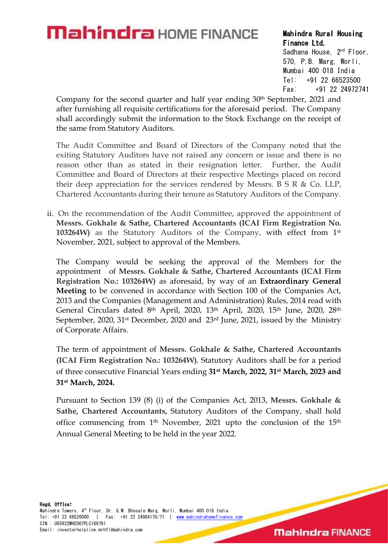## **Mahindra** HOME FINANCE Mahindra Rural Housing

Sadhana House, 2<sup>nd</sup> Floor, 570, P.B. Marg, Worli, Mumbai 400 018 India Tel: +91 22 66523500 Fax: +91 22 24972741

Company for the second quarter and half year ending 30<sup>th</sup> September, 2021 and after furnishing all requisite certifications for the aforesaid period. The Company shall accordingly submit the information to the Stock Exchange on the receipt of the same from Statutory Auditors.

The Audit Committee and Board of Directors of the Company noted that the exiting Statutory Auditors have not raised any concern or issue and there is no reason other than as stated in their resignation letter. Further, the Audit Committee and Board of Directors at their respective Meetings placed on record their deep appreciation for the services rendered by Messrs. B S R & Co. LLP, Chartered Accountants during their tenure as Statutory Auditors of the Company.

ii. On the recommendation of the Audit Committee, approved the appointment of Messrs. Gokhale & Sathe, Chartered Accountants (ICAI Firm Registration No. 103264W) as the Statutory Auditors of the Company, with effect from 1st November, 2021, subject to approval of the Members.

The Company would be seeking the approval of the Members for the appointment of Messrs. Gokhale & Sathe, Chartered Accountants (ICAI Firm Registration No.: 103264W) as aforesaid, by way of an Extraordinary General Meeting to be convened in accordance with Section 100 of the Companies Act, 2013 and the Companies (Management and Administration) Rules, 2014 read with General Circulars dated 8<sup>th</sup> April, 2020, 13<sup>th</sup> April, 2020, 15<sup>th</sup> June, 2020, 28<sup>th</sup> September, 2020, 31<sup>st</sup> December, 2020 and 23<sup>rd</sup> June, 2021, issued by the Ministry of Corporate Affairs.

The term of appointment of Messrs. Gokhale & Sathe, Chartered Accountants (ICAI Firm Registration No.: 103264W), Statutory Auditors shall be for a period of three consecutive Financial Years ending 31st March, 2022, 31st March, 2023 and 31st March, 2024.

Pursuant to Section 139 (8) (i) of the Companies Act, 2013, Messrs. Gokhale & Sathe, Chartered Accountants, Statutory Auditors of the Company, shall hold office commencing from 1th November, 2021 upto the conclusion of the 15th Annual General Meeting to be held in the year 2022.

**Mahindra FINANCE**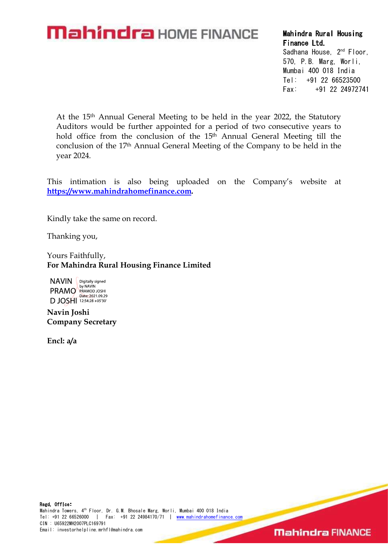## **Mahindra** HOME FINANCE Mahindra Rural Housing

Sadhana House, 2<sup>nd</sup> Floor,

570, P.B. Marg, Worli, Mumbai 400 018 India Tel: +91 22 66523500 Fax: +91 22 24972741

At the 15th Annual General Meeting to be held in the year 2022, the Statutory Auditors would be further appointed for a period of two consecutive years to hold office from the conclusion of the 15<sup>th</sup> Annual General Meeting till the conclusion of the 17th Annual General Meeting of the Company to be held in the year 2024.

This intimation is also being uploaded on the Company's website at https://www.mahindrahomefinance.com.<br>Kindly take the same on record.

Thanking you,

Yours Faithfully, For Mahindra Rural Housing Finance Limited

**NAVIN** Digitally signed **PRAMO** BUNAVIN DJOSHI 12:54:28 +05'30'

Navin Joshi Company Secretary

Encl: a/a